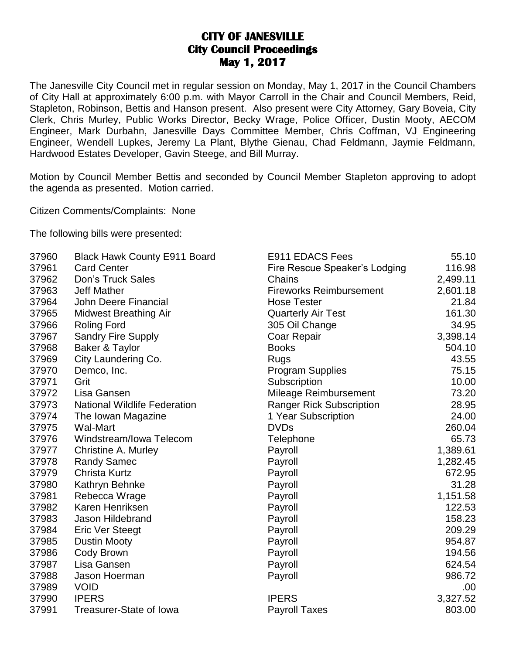## **CITY OF JANESVILLE City Council Proceedings May 1, 2017**

The Janesville City Council met in regular session on Monday, May 1, 2017 in the Council Chambers of City Hall at approximately 6:00 p.m. with Mayor Carroll in the Chair and Council Members, Reid, Stapleton, Robinson, Bettis and Hanson present. Also present were City Attorney, Gary Boveia, City Clerk, Chris Murley, Public Works Director, Becky Wrage, Police Officer, Dustin Mooty, AECOM Engineer, Mark Durbahn, Janesville Days Committee Member, Chris Coffman, VJ Engineering Engineer, Wendell Lupkes, Jeremy La Plant, Blythe Gienau, Chad Feldmann, Jaymie Feldmann, Hardwood Estates Developer, Gavin Steege, and Bill Murray.

Motion by Council Member Bettis and seconded by Council Member Stapleton approving to adopt the agenda as presented. Motion carried.

Citizen Comments/Complaints: None

The following bills were presented:

| 37960 | <b>Black Hawk County E911 Board</b> | E911 EDACS Fees                 | 55.10    |
|-------|-------------------------------------|---------------------------------|----------|
| 37961 | <b>Card Center</b>                  | Fire Rescue Speaker's Lodging   | 116.98   |
| 37962 | <b>Don's Truck Sales</b>            | Chains                          | 2,499.11 |
| 37963 | <b>Jeff Mather</b>                  | <b>Fireworks Reimbursement</b>  | 2,601.18 |
| 37964 | John Deere Financial                | <b>Hose Tester</b>              | 21.84    |
| 37965 | <b>Midwest Breathing Air</b>        | <b>Quarterly Air Test</b>       | 161.30   |
| 37966 | <b>Roling Ford</b>                  | 305 Oil Change                  | 34.95    |
| 37967 | <b>Sandry Fire Supply</b>           | Coar Repair                     | 3,398.14 |
| 37968 | Baker & Taylor                      | <b>Books</b>                    | 504.10   |
| 37969 | City Laundering Co.                 | Rugs                            | 43.55    |
| 37970 | Demco, Inc.                         | <b>Program Supplies</b>         | 75.15    |
| 37971 | Grit                                | Subscription                    | 10.00    |
| 37972 | Lisa Gansen                         | Mileage Reimbursement           | 73.20    |
| 37973 | <b>National Wildlife Federation</b> | <b>Ranger Rick Subscription</b> | 28.95    |
| 37974 | The Iowan Magazine                  | 1 Year Subscription             | 24.00    |
| 37975 | Wal-Mart                            | <b>DVDs</b>                     | 260.04   |
| 37976 | Windstream/Iowa Telecom             | Telephone                       | 65.73    |
| 37977 | Christine A. Murley                 | Payroll                         | 1,389.61 |
| 37978 | <b>Randy Samec</b>                  | Payroll                         | 1,282.45 |
| 37979 | <b>Christa Kurtz</b>                | Payroll                         | 672.95   |
| 37980 | Kathryn Behnke                      | Payroll                         | 31.28    |
| 37981 | Rebecca Wrage                       | Payroll                         | 1,151.58 |
| 37982 | Karen Henriksen                     | Payroll                         | 122.53   |
| 37983 | Jason Hildebrand                    | Payroll                         | 158.23   |
| 37984 | Eric Ver Steegt                     | Payroll                         | 209.29   |
| 37985 | <b>Dustin Mooty</b>                 | Payroll                         | 954.87   |
| 37986 | Cody Brown                          | Payroll                         | 194.56   |
| 37987 | Lisa Gansen                         | Payroll                         | 624.54   |
| 37988 | Jason Hoerman                       | Payroll                         | 986.72   |
| 37989 | <b>VOID</b>                         |                                 | .00.     |
| 37990 | <b>IPERS</b>                        | <b>IPERS</b>                    | 3,327.52 |
| 37991 | <b>Treasurer-State of lowa</b>      | <b>Payroll Taxes</b>            | 803.00   |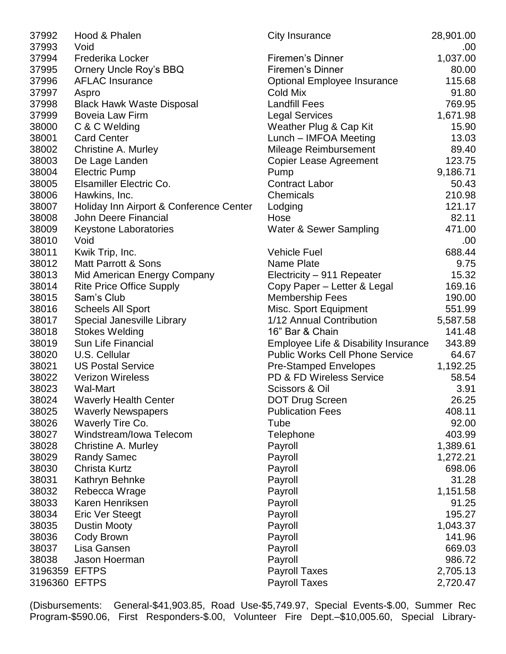| 37992         | Hood & Phalen                           | City Insurance                         | 28,901.00 |
|---------------|-----------------------------------------|----------------------------------------|-----------|
| 37993         | Void                                    |                                        | .00       |
| 37994         | <b>Frederika Locker</b>                 | Firemen's Dinner                       | 1,037.00  |
| 37995         | <b>Ornery Uncle Roy's BBQ</b>           | <b>Firemen's Dinner</b>                | 80.00     |
| 37996         | <b>AFLAC Insurance</b>                  | <b>Optional Employee Insurance</b>     | 115.68    |
| 37997         | Aspro                                   | Cold Mix                               | 91.80     |
| 37998         | <b>Black Hawk Waste Disposal</b>        | <b>Landfill Fees</b>                   | 769.95    |
| 37999         | Boveia Law Firm                         | <b>Legal Services</b>                  | 1,671.98  |
| 38000         | C & C Welding                           | Weather Plug & Cap Kit                 | 15.90     |
| 38001         | <b>Card Center</b>                      | Lunch - IMFOA Meeting                  | 13.03     |
| 38002         | <b>Christine A. Murley</b>              | Mileage Reimbursement                  | 89.40     |
| 38003         | De Lage Landen                          | <b>Copier Lease Agreement</b>          | 123.75    |
| 38004         | <b>Electric Pump</b>                    | Pump                                   | 9,186.71  |
| 38005         | Elsamiller Electric Co.                 | <b>Contract Labor</b>                  | 50.43     |
| 38006         | Hawkins, Inc.                           | Chemicals                              | 210.98    |
| 38007         | Holiday Inn Airport & Conference Center | Lodging                                | 121.17    |
| 38008         | John Deere Financial                    | Hose                                   | 82.11     |
| 38009         | <b>Keystone Laboratories</b>            | Water & Sewer Sampling                 | 471.00    |
| 38010         | Void                                    |                                        | .00       |
| 38011         | Kwik Trip, Inc.                         | <b>Vehicle Fuel</b>                    | 688.44    |
| 38012         | <b>Matt Parrott &amp; Sons</b>          | Name Plate                             | 9.75      |
| 38013         | Mid American Energy Company             | Electricity - 911 Repeater             | 15.32     |
| 38014         | <b>Rite Price Office Supply</b>         | Copy Paper – Letter & Legal            | 169.16    |
| 38015         | Sam's Club                              | <b>Membership Fees</b>                 | 190.00    |
| 38016         | <b>Scheels All Sport</b>                | Misc. Sport Equipment                  | 551.99    |
| 38017         | Special Janesville Library              | 1/12 Annual Contribution               | 5,587.58  |
| 38018         | <b>Stokes Welding</b>                   | 16" Bar & Chain                        | 141.48    |
| 38019         | Sun Life Financial                      | Employee Life & Disability Insurance   | 343.89    |
| 38020         | U.S. Cellular                           | <b>Public Works Cell Phone Service</b> | 64.67     |
| 38021         | <b>US Postal Service</b>                | <b>Pre-Stamped Envelopes</b>           | 1,192.25  |
| 38022         | <b>Verizon Wireless</b>                 | PD & FD Wireless Service               | 58.54     |
| 38023         | Wal-Mart                                | Scissors & Oil                         | 3.91      |
| 38024         | <b>Waverly Health Center</b>            | DOT Drug Screen                        | 26.25     |
| 38025         | <b>Waverly Newspapers</b>               | <b>Publication Fees</b>                | 408.11    |
| 38026         | Waverly Tire Co.                        | Tube                                   | 92.00     |
| 38027         | Windstream/Iowa Telecom                 | Telephone                              | 403.99    |
| 38028         | Christine A. Murley                     | Payroll                                | 1,389.61  |
| 38029         | <b>Randy Samec</b>                      | Payroll                                | 1,272.21  |
| 38030         | <b>Christa Kurtz</b>                    | Payroll                                | 698.06    |
| 38031         | Kathryn Behnke                          | Payroll                                | 31.28     |
| 38032         | Rebecca Wrage                           | Payroll                                | 1,151.58  |
| 38033         | Karen Henriksen                         | Payroll                                | 91.25     |
| 38034         | <b>Eric Ver Steegt</b>                  | Payroll                                | 195.27    |
| 38035         | <b>Dustin Mooty</b>                     | Payroll                                | 1,043.37  |
| 38036         | Cody Brown                              | Payroll                                | 141.96    |
| 38037         | Lisa Gansen                             | Payroll                                | 669.03    |
| 38038         | Jason Hoerman                           | Payroll                                | 986.72    |
| 3196359 EFTPS |                                         | <b>Payroll Taxes</b>                   | 2,705.13  |
| 3196360 EFTPS |                                         | <b>Payroll Taxes</b>                   | 2,720.47  |
|               |                                         |                                        |           |

(Disbursements: General-\$41,903.85, Road Use-\$5,749.97, Special Events-\$.00, Summer Rec Program-\$590.06, First Responders-\$.00, Volunteer Fire Dept.–\$10,005.60, Special Library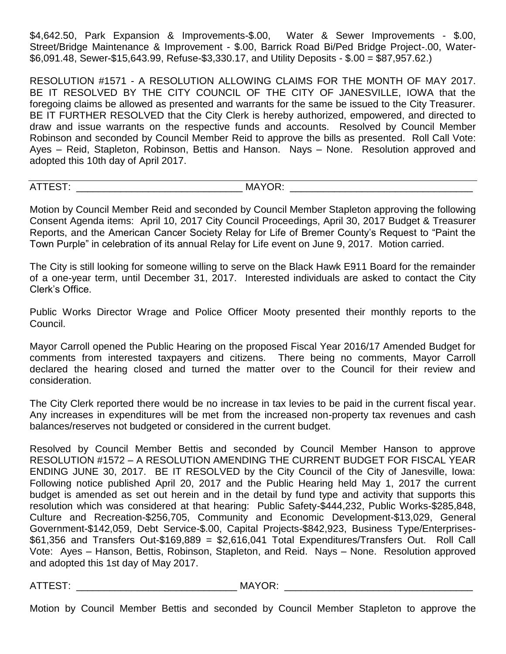\$4,642.50, Park Expansion & Improvements-\$.00, Water & Sewer Improvements - \$.00, Street/Bridge Maintenance & Improvement - \$.00, Barrick Road Bi/Ped Bridge Project-.00, Water- \$6,091.48, Sewer-\$15,643.99, Refuse-\$3,330.17, and Utility Deposits - \$.00 = \$87,957.62.)

RESOLUTION #1571 - A RESOLUTION ALLOWING CLAIMS FOR THE MONTH OF MAY 2017. BE IT RESOLVED BY THE CITY COUNCIL OF THE CITY OF JANESVILLE, IOWA that the foregoing claims be allowed as presented and warrants for the same be issued to the City Treasurer. BE IT FURTHER RESOLVED that the City Clerk is hereby authorized, empowered, and directed to draw and issue warrants on the respective funds and accounts. Resolved by Council Member Robinson and seconded by Council Member Reid to approve the bills as presented. Roll Call Vote: Ayes – Reid, Stapleton, Robinson, Bettis and Hanson. Nays – None. Resolution approved and adopted this 10th day of April 2017.

ATTEST: ATTEST:

Motion by Council Member Reid and seconded by Council Member Stapleton approving the following Consent Agenda items: April 10, 2017 City Council Proceedings, April 30, 2017 Budget & Treasurer Reports, and the American Cancer Society Relay for Life of Bremer County's Request to "Paint the Town Purple" in celebration of its annual Relay for Life event on June 9, 2017. Motion carried.

The City is still looking for someone willing to serve on the Black Hawk E911 Board for the remainder of a one-year term, until December 31, 2017. Interested individuals are asked to contact the City Clerk's Office.

Public Works Director Wrage and Police Officer Mooty presented their monthly reports to the Council.

Mayor Carroll opened the Public Hearing on the proposed Fiscal Year 2016/17 Amended Budget for comments from interested taxpayers and citizens. There being no comments, Mayor Carroll declared the hearing closed and turned the matter over to the Council for their review and consideration.

The City Clerk reported there would be no increase in tax levies to be paid in the current fiscal year. Any increases in expenditures will be met from the increased non-property tax revenues and cash balances/reserves not budgeted or considered in the current budget.

Resolved by Council Member Bettis and seconded by Council Member Hanson to approve RESOLUTION #1572 – A RESOLUTION AMENDING THE CURRENT BUDGET FOR FISCAL YEAR ENDING JUNE 30, 2017. BE IT RESOLVED by the City Council of the City of Janesville, Iowa: Following notice published April 20, 2017 and the Public Hearing held May 1, 2017 the current budget is amended as set out herein and in the detail by fund type and activity that supports this resolution which was considered at that hearing: Public Safety-\$444,232, Public Works-\$285,848, Culture and Recreation-\$256,705, Community and Economic Development-\$13,029, General Government-\$142,059, Debt Service-\$.00, Capital Projects-\$842,923, Business Type/Enterprises- \$61,356 and Transfers Out-\$169,889 = \$2,616,041 Total Expenditures/Transfers Out. Roll Call Vote: Ayes – Hanson, Bettis, Robinson, Stapleton, and Reid. Nays – None. Resolution approved and adopted this 1st day of May 2017.

ATTEST: THE MAYOR: THE MAYOR:

Motion by Council Member Bettis and seconded by Council Member Stapleton to approve the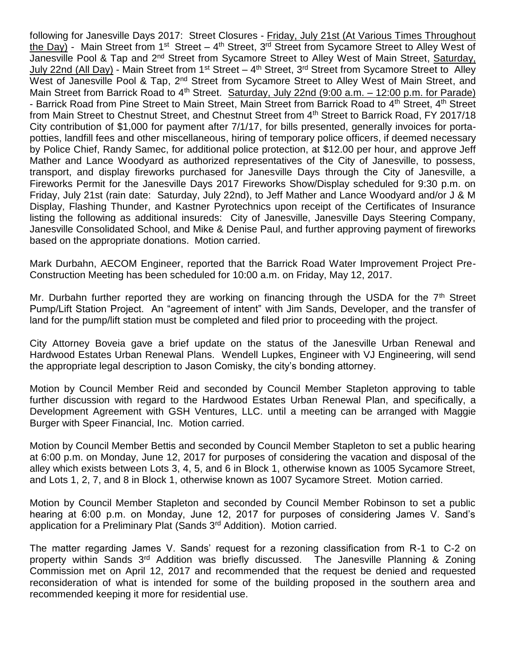following for Janesville Days 2017: Street Closures - Friday, July 21st (At Various Times Throughout the Day) - Main Street from 1<sup>st</sup> Street – 4<sup>th</sup> Street, 3<sup>rd</sup> Street from Sycamore Street to Alley West of Janesville Pool & Tap and 2<sup>nd</sup> Street from Sycamore Street to Alley West of Main Street, Saturday, July 22nd (All Day) - Main Street from 1<sup>st</sup> Street – 4<sup>th</sup> Street, 3<sup>rd</sup> Street from Sycamore Street to Alley West of Janesville Pool & Tap, 2<sup>nd</sup> Street from Sycamore Street to Alley West of Main Street, and Main Street from Barrick Road to 4<sup>th</sup> Street. Saturday, July 22nd (9:00 a.m. – 12:00 p.m. for Parade) - Barrick Road from Pine Street to Main Street, Main Street from Barrick Road to 4<sup>th</sup> Street, 4<sup>th</sup> Street from Main Street to Chestnut Street, and Chestnut Street from 4<sup>th</sup> Street to Barrick Road, FY 2017/18 City contribution of \$1,000 for payment after 7/1/17, for bills presented, generally invoices for portapotties, landfill fees and other miscellaneous, hiring of temporary police officers, if deemed necessary by Police Chief, Randy Samec, for additional police protection, at \$12.00 per hour, and approve Jeff Mather and Lance Woodyard as authorized representatives of the City of Janesville, to possess, transport, and display fireworks purchased for Janesville Days through the City of Janesville, a Fireworks Permit for the Janesville Days 2017 Fireworks Show/Display scheduled for 9:30 p.m. on Friday, July 21st (rain date: Saturday, July 22nd), to Jeff Mather and Lance Woodyard and/or J & M Display, Flashing Thunder, and Kastner Pyrotechnics upon receipt of the Certificates of Insurance listing the following as additional insureds: City of Janesville, Janesville Days Steering Company, Janesville Consolidated School, and Mike & Denise Paul, and further approving payment of fireworks based on the appropriate donations. Motion carried.

Mark Durbahn, AECOM Engineer, reported that the Barrick Road Water Improvement Project Pre-Construction Meeting has been scheduled for 10:00 a.m. on Friday, May 12, 2017.

Mr. Durbahn further reported they are working on financing through the USDA for the  $7<sup>th</sup>$  Street Pump/Lift Station Project. An "agreement of intent" with Jim Sands, Developer, and the transfer of land for the pump/lift station must be completed and filed prior to proceeding with the project.

City Attorney Boveia gave a brief update on the status of the Janesville Urban Renewal and Hardwood Estates Urban Renewal Plans. Wendell Lupkes, Engineer with VJ Engineering, will send the appropriate legal description to Jason Comisky, the city's bonding attorney.

Motion by Council Member Reid and seconded by Council Member Stapleton approving to table further discussion with regard to the Hardwood Estates Urban Renewal Plan, and specifically, a Development Agreement with GSH Ventures, LLC. until a meeting can be arranged with Maggie Burger with Speer Financial, Inc. Motion carried.

Motion by Council Member Bettis and seconded by Council Member Stapleton to set a public hearing at 6:00 p.m. on Monday, June 12, 2017 for purposes of considering the vacation and disposal of the alley which exists between Lots 3, 4, 5, and 6 in Block 1, otherwise known as 1005 Sycamore Street, and Lots 1, 2, 7, and 8 in Block 1, otherwise known as 1007 Sycamore Street. Motion carried.

Motion by Council Member Stapleton and seconded by Council Member Robinson to set a public hearing at 6:00 p.m. on Monday, June 12, 2017 for purposes of considering James V. Sand's application for a Preliminary Plat (Sands 3rd Addition). Motion carried.

The matter regarding James V. Sands' request for a rezoning classification from R-1 to C-2 on property within Sands 3rd Addition was briefly discussed. The Janesville Planning & Zoning Commission met on April 12, 2017 and recommended that the request be denied and requested reconsideration of what is intended for some of the building proposed in the southern area and recommended keeping it more for residential use.